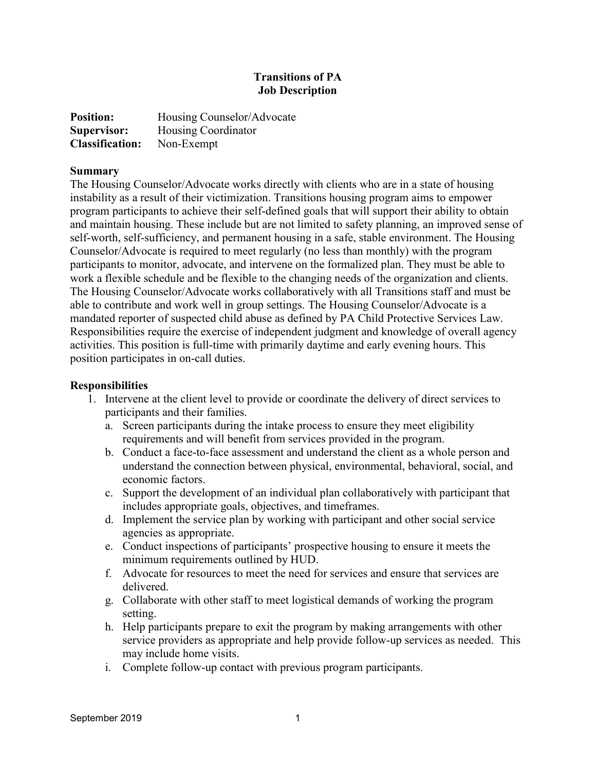## **Transitions of PA Job Description**

| <b>Position:</b>       | Housing Counselor/Advocate |
|------------------------|----------------------------|
| Supervisor:            | Housing Coordinator        |
| <b>Classification:</b> | Non-Exempt                 |

## **Summary**

The Housing Counselor/Advocate works directly with clients who are in a state of housing instability as a result of their victimization. Transitions housing program aims to empower program participants to achieve their self-defined goals that will support their ability to obtain and maintain housing. These include but are not limited to safety planning, an improved sense of self-worth, self-sufficiency, and permanent housing in a safe, stable environment. The Housing Counselor/Advocate is required to meet regularly (no less than monthly) with the program participants to monitor, advocate, and intervene on the formalized plan. They must be able to work a flexible schedule and be flexible to the changing needs of the organization and clients. The Housing Counselor/Advocate works collaboratively with all Transitions staff and must be able to contribute and work well in group settings. The Housing Counselor/Advocate is a mandated reporter of suspected child abuse as defined by PA Child Protective Services Law. Responsibilities require the exercise of independent judgment and knowledge of overall agency activities. This position is full-time with primarily daytime and early evening hours. This position participates in on-call duties.

## **Responsibilities**

- 1. Intervene at the client level to provide or coordinate the delivery of direct services to participants and their families.
	- a. Screen participants during the intake process to ensure they meet eligibility requirements and will benefit from services provided in the program.
	- b. Conduct a face-to-face assessment and understand the client as a whole person and understand the connection between physical, environmental, behavioral, social, and economic factors.
	- c. Support the development of an individual plan collaboratively with participant that includes appropriate goals, objectives, and timeframes.
	- d. Implement the service plan by working with participant and other social service agencies as appropriate.
	- e. Conduct inspections of participants' prospective housing to ensure it meets the minimum requirements outlined by HUD.
	- f. Advocate for resources to meet the need for services and ensure that services are delivered.
	- g. Collaborate with other staff to meet logistical demands of working the program setting.
	- h. Help participants prepare to exit the program by making arrangements with other service providers as appropriate and help provide follow-up services as needed. This may include home visits.
	- i. Complete follow-up contact with previous program participants.